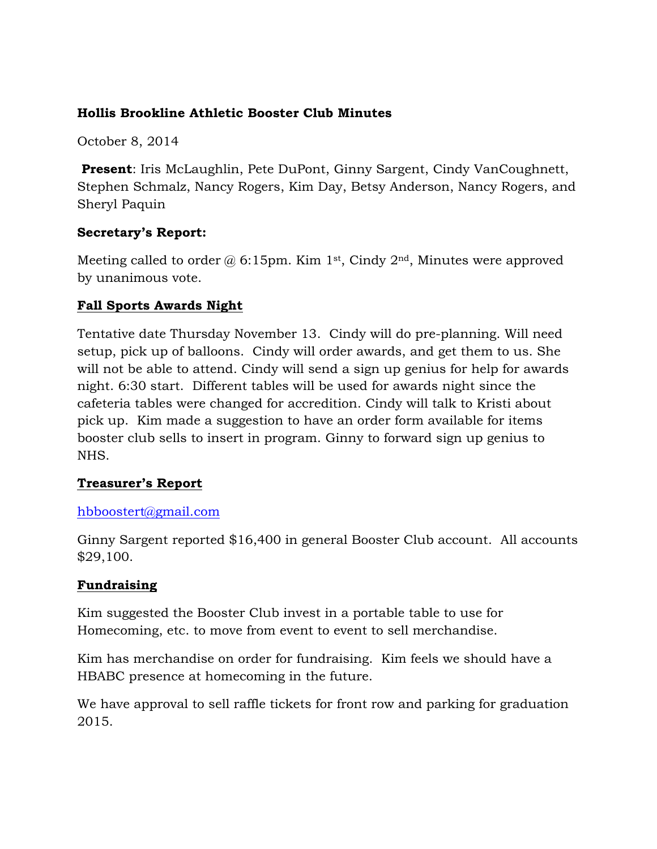#### **Hollis Brookline Athletic Booster Club Minutes**

October 8, 2014

**Present**: Iris McLaughlin, Pete DuPont, Ginny Sargent, Cindy VanCoughnett, Stephen Schmalz, Nancy Rogers, Kim Day, Betsy Anderson, Nancy Rogers, and Sheryl Paquin

## **Secretary's Report:**

Meeting called to order  $\omega$  6:15pm. Kim 1<sup>st</sup>, Cindy 2<sup>nd</sup>, Minutes were approved by unanimous vote.

## **Fall Sports Awards Night**

Tentative date Thursday November 13. Cindy will do pre-planning. Will need setup, pick up of balloons. Cindy will order awards, and get them to us. She will not be able to attend. Cindy will send a sign up genius for help for awards night. 6:30 start. Different tables will be used for awards night since the cafeteria tables were changed for accredition. Cindy will talk to Kristi about pick up. Kim made a suggestion to have an order form available for items booster club sells to insert in program. Ginny to forward sign up genius to NHS.

# **Treasurer's Report**

## hbboostert@gmail.com

Ginny Sargent reported \$16,400 in general Booster Club account. All accounts \$29,100.

## **Fundraising**

Kim suggested the Booster Club invest in a portable table to use for Homecoming, etc. to move from event to event to sell merchandise.

Kim has merchandise on order for fundraising. Kim feels we should have a HBABC presence at homecoming in the future.

We have approval to sell raffle tickets for front row and parking for graduation 2015.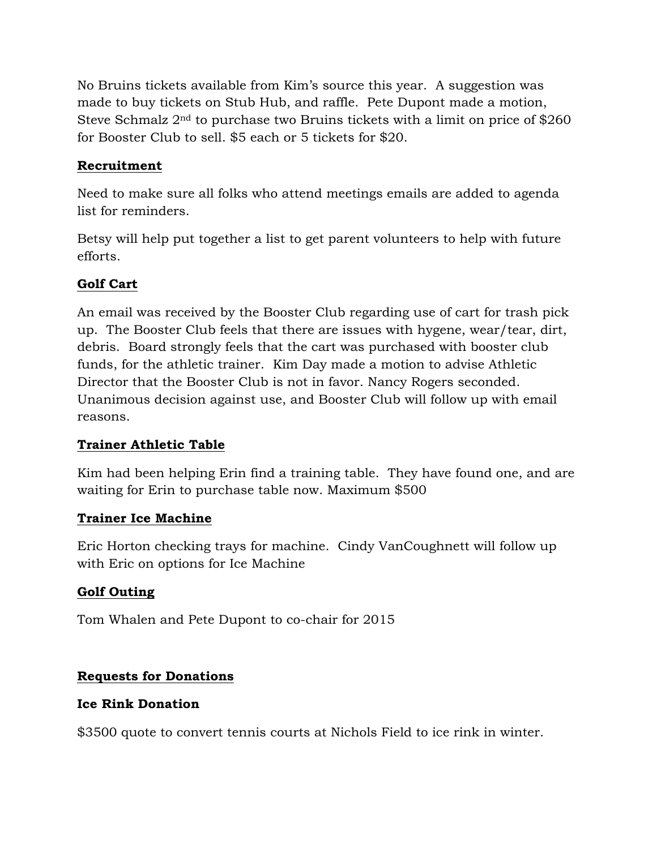No Bruins tickets available from Kim's source this year. A suggestion was made to buy tickets on Stub Hub, and raffle. Pete Dupont made a motion, Steve Schmalz 2nd to purchase two Bruins tickets with a limit on price of \$260 for Booster Club to sell. \$5 each or 5 tickets for \$20.

## **Recruitment**

Need to make sure all folks who attend meetings emails are added to agenda list for reminders.

Betsy will help put together a list to get parent volunteers to help with future efforts.

#### **Golf Cart**

An email was received by the Booster Club regarding use of cart for trash pick up. The Booster Club feels that there are issues with hygene, wear/tear, dirt, debris. Board strongly feels that the cart was purchased with booster club funds, for the athletic trainer. Kim Day made a motion to advise Athletic Director that the Booster Club is not in favor. Nancy Rogers seconded. Unanimous decision against use, and Booster Club will follow up with email reasons.

## **Trainer Athletic Table**

Kim had been helping Erin find a training table. They have found one, and are waiting for Erin to purchase table now. Maximum \$500

#### **Trainer Ice Machine**

Eric Horton checking trays for machine. Cindy VanCoughnett will follow up with Eric on options for Ice Machine

## **Golf Outing**

Tom Whalen and Pete Dupont to co-chair for 2015

## **Requests for Donations**

#### **Ice Rink Donation**

\$3500 quote to convert tennis courts at Nichols Field to ice rink in winter.